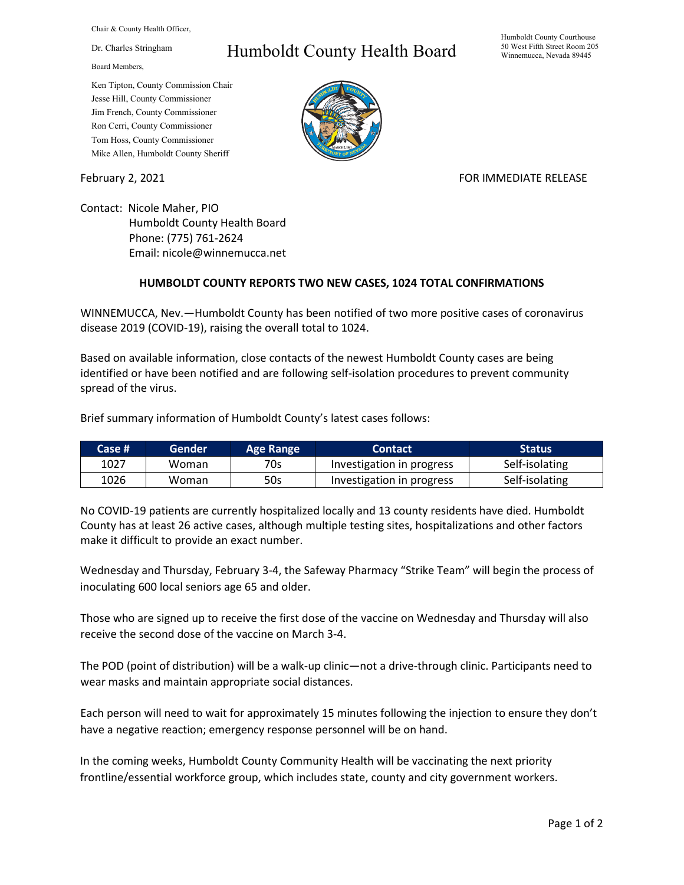Chair & County Health Officer,

Dr. Charles Stringham

Board Members,

## Ken Tipton, County Commission Chair Jesse Hill, County Commissioner Jim French, County Commissioner Ron Cerri, County Commissioner Tom Hoss, County Commissioner Mike Allen, Humboldt County Sheriff

## Humboldt County Health Board



## February 2, 2021 **FOR IMMEDIATE RELEASE**

Contact: Nicole Maher, PIO Humboldt County Health Board Phone: (775) 761-2624 Email: nicole@winnemucca.net

## **HUMBOLDT COUNTY REPORTS TWO NEW CASES, 1024 TOTAL CONFIRMATIONS**

WINNEMUCCA, Nev.—Humboldt County has been notified of two more positive cases of coronavirus disease 2019 (COVID-19), raising the overall total to 1024.

Based on available information, close contacts of the newest Humboldt County cases are being identified or have been notified and are following self-isolation procedures to prevent community spread of the virus.

Brief summary information of Humboldt County's latest cases follows:

| Case # | 'Gender | Age Range | <b>Contact</b>            | <b>Status</b>  |
|--------|---------|-----------|---------------------------|----------------|
| 1027   | Woman   | 70s       | Investigation in progress | Self-isolating |
| 1026   | Woman   | 50s       | Investigation in progress | Self-isolating |

No COVID-19 patients are currently hospitalized locally and 13 county residents have died. Humboldt County has at least 26 active cases, although multiple testing sites, hospitalizations and other factors make it difficult to provide an exact number.

Wednesday and Thursday, February 3-4, the Safeway Pharmacy "Strike Team" will begin the process of inoculating 600 local seniors age 65 and older.

Those who are signed up to receive the first dose of the vaccine on Wednesday and Thursday will also receive the second dose of the vaccine on March 3-4.

The POD (point of distribution) will be a walk-up clinic—not a drive-through clinic. Participants need to wear masks and maintain appropriate social distances.

Each person will need to wait for approximately 15 minutes following the injection to ensure they don't have a negative reaction; emergency response personnel will be on hand.

In the coming weeks, Humboldt County Community Health will be vaccinating the next priority frontline/essential workforce group, which includes state, county and city government workers.